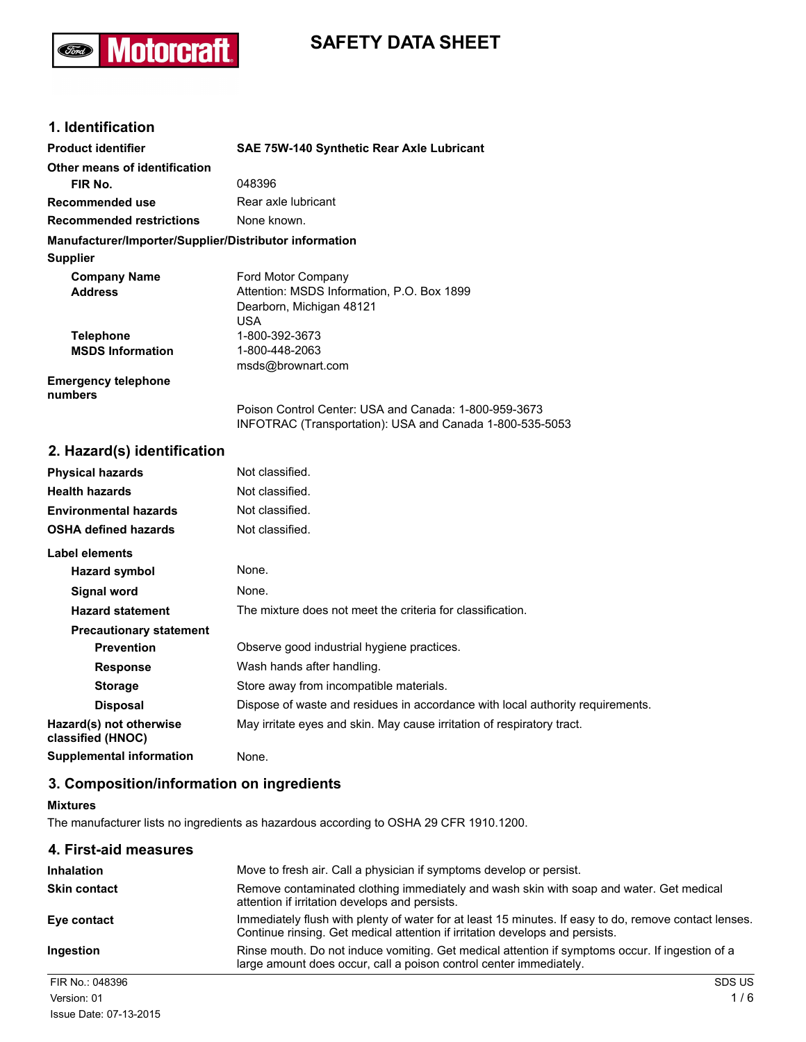# **Motorcraft Ford**

# **SAFETY DATA SHEET**

# **1. Identification**

| <b>Product identifier</b>                              | SAE 75W-140 Synthetic Rear Axle Lubricant             |
|--------------------------------------------------------|-------------------------------------------------------|
| Other means of identification                          |                                                       |
| FIR No.                                                | 048396                                                |
| Recommended use                                        | Rear axle lubricant                                   |
| <b>Recommended restrictions</b>                        | None known.                                           |
| Manufacturer/Importer/Supplier/Distributor information |                                                       |
| <b>Supplier</b>                                        |                                                       |
| <b>Company Name</b>                                    | Ford Motor Company                                    |
| <b>Address</b>                                         | Attention: MSDS Information, P.O. Box 1899            |
|                                                        | Dearborn, Michigan 48121                              |
|                                                        | USA                                                   |
| <b>Telephone</b>                                       | 1-800-392-3673                                        |
| <b>MSDS Information</b>                                | 1-800-448-2063                                        |
|                                                        | msds@brownart.com                                     |
| <b>Emergency telephone</b><br>numbers                  |                                                       |
|                                                        | Poison Control Center: USA and Canada: 1-800-959-3673 |

INFOTRAC (Transportation): USA and Canada 1-800-535-5053

# **2. Hazard(s) identification**

| <b>Physical hazards</b>                      | Not classified.                                                                |
|----------------------------------------------|--------------------------------------------------------------------------------|
| <b>Health hazards</b>                        | Not classified.                                                                |
| <b>Environmental hazards</b>                 | Not classified.                                                                |
| <b>OSHA defined hazards</b>                  | Not classified.                                                                |
| Label elements                               |                                                                                |
| Hazard symbol                                | None.                                                                          |
| Signal word                                  | None.                                                                          |
| <b>Hazard statement</b>                      | The mixture does not meet the criteria for classification.                     |
| <b>Precautionary statement</b>               |                                                                                |
| <b>Prevention</b>                            | Observe good industrial hygiene practices.                                     |
| <b>Response</b>                              | Wash hands after handling.                                                     |
| <b>Storage</b>                               | Store away from incompatible materials.                                        |
| <b>Disposal</b>                              | Dispose of waste and residues in accordance with local authority requirements. |
| Hazard(s) not otherwise<br>classified (HNOC) | May irritate eyes and skin. May cause irritation of respiratory tract.         |
| <b>Supplemental information</b>              | None.                                                                          |

# **3. Composition/information on ingredients**

#### **Mixtures**

The manufacturer lists no ingredients as hazardous according to OSHA 29 CFR 1910.1200.

| 4. First-aid measures |                                                                                                                                                                                       |
|-----------------------|---------------------------------------------------------------------------------------------------------------------------------------------------------------------------------------|
| <b>Inhalation</b>     | Move to fresh air. Call a physician if symptoms develop or persist.                                                                                                                   |
| <b>Skin contact</b>   | Remove contaminated clothing immediately and wash skin with soap and water. Get medical<br>attention if irritation develops and persists.                                             |
| Eye contact           | Immediately flush with plenty of water for at least 15 minutes. If easy to do, remove contact lenses.<br>Continue rinsing. Get medical attention if irritation develops and persists. |
| Ingestion             | Rinse mouth. Do not induce vomiting. Get medical attention if symptoms occur. If ingestion of a<br>large amount does occur, call a poison control center immediately.                 |
| FIR No.: 048396       | SDS US                                                                                                                                                                                |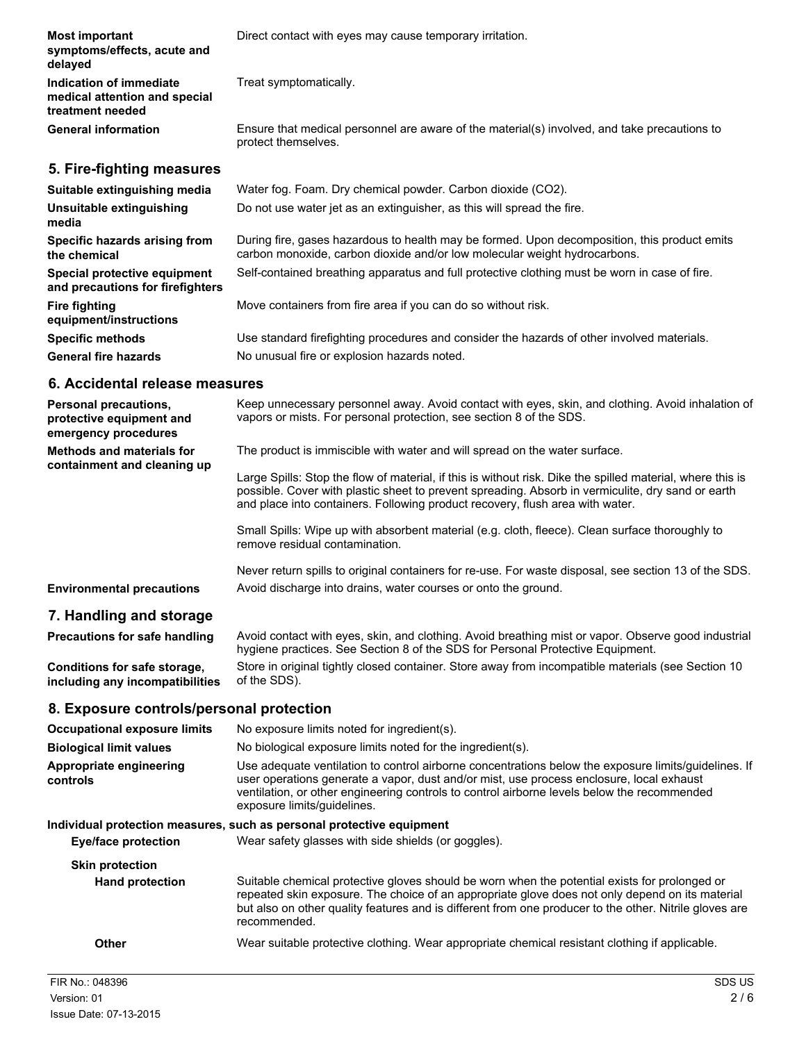| <b>Most important</b><br>symptoms/effects, acute and<br>delayed              | Direct contact with eyes may cause temporary irritation.                                                                                                                  |
|------------------------------------------------------------------------------|---------------------------------------------------------------------------------------------------------------------------------------------------------------------------|
| Indication of immediate<br>medical attention and special<br>treatment needed | Treat symptomatically.                                                                                                                                                    |
| <b>General information</b>                                                   | Ensure that medical personnel are aware of the material(s) involved, and take precautions to<br>protect themselves.                                                       |
| 5. Fire-fighting measures                                                    |                                                                                                                                                                           |
| Suitable extinguishing media                                                 | Water fog. Foam. Dry chemical powder. Carbon dioxide (CO2).                                                                                                               |
| Unsuitable extinguishing<br>media                                            | Do not use water jet as an extinguisher, as this will spread the fire.                                                                                                    |
| Specific hazards arising from<br>the chemical                                | During fire, gases hazardous to health may be formed. Upon decomposition, this product emits<br>carbon monoxide, carbon dioxide and/or low molecular weight hydrocarbons. |
| Special protective equipment<br>and precautions for firefighters             | Self-contained breathing apparatus and full protective clothing must be worn in case of fire.                                                                             |
| <b>Fire fighting</b><br>equipment/instructions                               | Move containers from fire area if you can do so without risk.                                                                                                             |
| <b>Specific methods</b>                                                      | Use standard firefighting procedures and consider the hazards of other involved materials.                                                                                |
| <b>General fire hazards</b>                                                  | No unusual fire or explosion hazards noted.                                                                                                                               |

#### **6. Accidental release measures**

| <b>Personal precautions.</b><br>protective equipment and<br>emergency procedures | Keep unnecessary personnel away. Avoid contact with eyes, skin, and clothing. Avoid inhalation of<br>vapors or mists. For personal protection, see section 8 of the SDS.                                                                                                                         |
|----------------------------------------------------------------------------------|--------------------------------------------------------------------------------------------------------------------------------------------------------------------------------------------------------------------------------------------------------------------------------------------------|
| <b>Methods and materials for</b><br>containment and cleaning up                  | The product is immiscible with water and will spread on the water surface.                                                                                                                                                                                                                       |
|                                                                                  | Large Spills: Stop the flow of material, if this is without risk. Dike the spilled material, where this is<br>possible. Cover with plastic sheet to prevent spreading. Absorb in vermiculite, dry sand or earth<br>and place into containers. Following product recovery, flush area with water. |
|                                                                                  | Small Spills: Wipe up with absorbent material (e.g. cloth, fleece). Clean surface thoroughly to<br>remove residual contamination.                                                                                                                                                                |
| <b>Environmental precautions</b>                                                 | Never return spills to original containers for re-use. For waste disposal, see section 13 of the SDS.<br>Avoid discharge into drains, water courses or onto the ground.                                                                                                                          |
| 7. Handling and storage                                                          |                                                                                                                                                                                                                                                                                                  |
| <b>Precautions for safe handling</b>                                             | Avoid contact with eyes, skin, and clothing. Avoid breathing mist or vapor. Observe good industrial<br>hygiene practices. See Section 8 of the SDS for Personal Protective Equipment.                                                                                                            |

**Conditions for safe storage, including any incompatibilities** Store in original tightly closed container. Store away from incompatible materials (see Section 10 of the SDS).

# **8. Exposure controls/personal protection**

| <b>Occupational exposure limits</b> | No exposure limits noted for ingredient(s).                                                                                                                                                                                                                                                                                    |
|-------------------------------------|--------------------------------------------------------------------------------------------------------------------------------------------------------------------------------------------------------------------------------------------------------------------------------------------------------------------------------|
| <b>Biological limit values</b>      | No biological exposure limits noted for the ingredient(s).                                                                                                                                                                                                                                                                     |
| Appropriate engineering<br>controls | Use adequate ventilation to control airborne concentrations below the exposure limits/quidelines. If<br>user operations generate a vapor, dust and/or mist, use process enclosure, local exhaust<br>ventilation, or other engineering controls to control airborne levels below the recommended<br>exposure limits/guidelines. |
|                                     | Individual protection measures, such as personal protective equipment                                                                                                                                                                                                                                                          |
| <b>Eye/face protection</b>          | Wear safety glasses with side shields (or goggles).                                                                                                                                                                                                                                                                            |
| <b>Skin protection</b>              |                                                                                                                                                                                                                                                                                                                                |
| <b>Hand protection</b>              | Suitable chemical protective gloves should be worn when the potential exists for prolonged or<br>repeated skin exposure. The choice of an appropriate glove does not only depend on its material<br>but also on other quality features and is different from one producer to the other. Nitrile gloves are<br>recommended.     |
| <b>Other</b>                        | Wear suitable protective clothing. Wear appropriate chemical resistant clothing if applicable.                                                                                                                                                                                                                                 |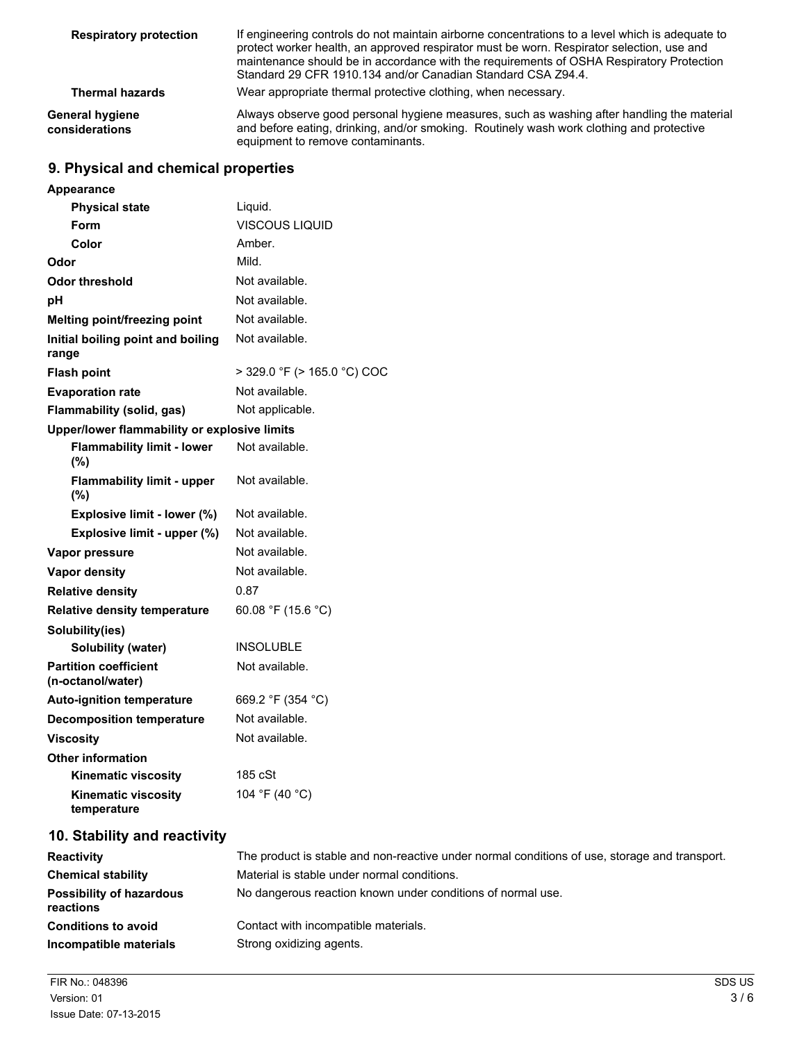| <b>Respiratory protection</b>     | If engineering controls do not maintain airborne concentrations to a level which is adequate to<br>protect worker health, an approved respirator must be worn. Respirator selection, use and<br>maintenance should be in accordance with the requirements of OSHA Respiratory Protection<br>Standard 29 CFR 1910.134 and/or Canadian Standard CSA Z94.4. |
|-----------------------------------|----------------------------------------------------------------------------------------------------------------------------------------------------------------------------------------------------------------------------------------------------------------------------------------------------------------------------------------------------------|
| <b>Thermal hazards</b>            | Wear appropriate thermal protective clothing, when necessary.                                                                                                                                                                                                                                                                                            |
| General hygiene<br>considerations | Always observe good personal hygiene measures, such as washing after handling the material<br>and before eating, drinking, and/or smoking. Routinely wash work clothing and protective<br>equipment to remove contaminants.                                                                                                                              |

# **9. Physical and chemical properties**

| <b>Appearance</b>                                 |                             |
|---------------------------------------------------|-----------------------------|
| <b>Physical state</b>                             | Liquid.                     |
| Form                                              | VISCOUS LIQUID              |
| Color                                             | Amber.                      |
| Odor                                              | Mild.                       |
| <b>Odor threshold</b>                             | Not available.              |
| pH                                                | Not available.              |
| Melting point/freezing point                      | Not available.              |
| Initial boiling point and boiling<br>range        | Not available.              |
| <b>Flash point</b>                                | > 329.0 °F (> 165.0 °C) COC |
| <b>Evaporation rate</b>                           | Not available.              |
| Flammability (solid, gas)                         | Not applicable.             |
| Upper/lower flammability or explosive limits      |                             |
| <b>Flammability limit - lower</b><br>(%)          | Not available.              |
| <b>Flammability limit - upper</b><br>(%)          | Not available.              |
| Explosive limit - lower (%)                       | Not available.              |
| Explosive limit - upper (%)                       | Not available.              |
| Vapor pressure                                    | Not available.              |
| <b>Vapor density</b>                              | Not available.              |
| <b>Relative density</b>                           | 0.87                        |
| <b>Relative density temperature</b>               | 60.08 °F (15.6 °C)          |
| Solubility(ies)                                   |                             |
| <b>Solubility (water)</b>                         | <b>INSOLUBLE</b>            |
| <b>Partition coefficient</b><br>(n-octanol/water) | Not available.              |
| <b>Auto-ignition temperature</b>                  | 669.2 °F (354 °C)           |
| <b>Decomposition temperature</b>                  | Not available.              |
| <b>Viscosity</b>                                  | Not available.              |
| <b>Other information</b>                          |                             |
| <b>Kinematic viscosity</b>                        | 185 cSt                     |
| Kinematic viscosity<br>temperature                | 104 °F (40 °C)              |

# **10. Stability and reactivity**

| <b>Reactivity</b>                     | The product is stable and non-reactive under normal conditions of use, storage and transport. |
|---------------------------------------|-----------------------------------------------------------------------------------------------|
| <b>Chemical stability</b>             | Material is stable under normal conditions.                                                   |
| Possibility of hazardous<br>reactions | No dangerous reaction known under conditions of normal use.                                   |
| <b>Conditions to avoid</b>            | Contact with incompatible materials.                                                          |
| Incompatible materials                | Strong oxidizing agents.                                                                      |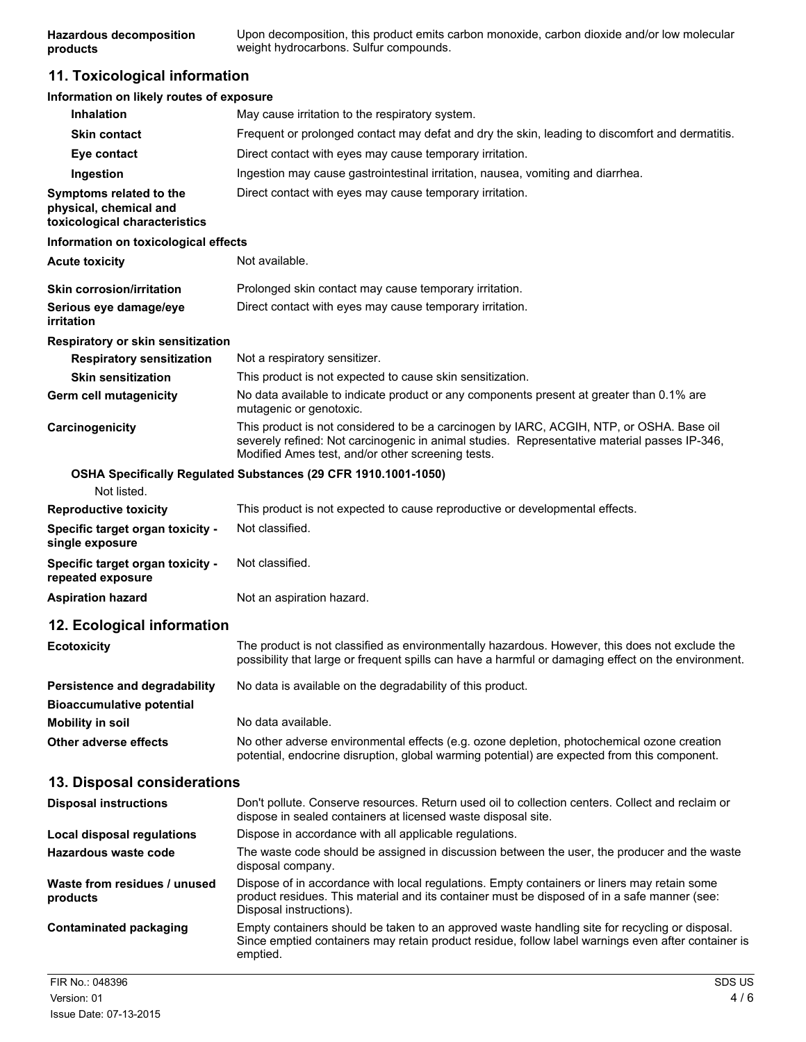# **11. Toxicological information**

| Information on likely routes of exposure                                           |                                                                                                                                                                                                                                               |
|------------------------------------------------------------------------------------|-----------------------------------------------------------------------------------------------------------------------------------------------------------------------------------------------------------------------------------------------|
| <b>Inhalation</b>                                                                  | May cause irritation to the respiratory system.                                                                                                                                                                                               |
| <b>Skin contact</b>                                                                | Frequent or prolonged contact may defat and dry the skin, leading to discomfort and dermatitis.                                                                                                                                               |
| Eye contact                                                                        | Direct contact with eyes may cause temporary irritation.                                                                                                                                                                                      |
| Ingestion                                                                          | Ingestion may cause gastrointestinal irritation, nausea, vomiting and diarrhea.                                                                                                                                                               |
| Symptoms related to the<br>physical, chemical and<br>toxicological characteristics | Direct contact with eyes may cause temporary irritation.                                                                                                                                                                                      |
| Information on toxicological effects                                               |                                                                                                                                                                                                                                               |
| <b>Acute toxicity</b>                                                              | Not available.                                                                                                                                                                                                                                |
| <b>Skin corrosion/irritation</b>                                                   | Prolonged skin contact may cause temporary irritation.                                                                                                                                                                                        |
| Serious eye damage/eye<br>irritation                                               | Direct contact with eyes may cause temporary irritation.                                                                                                                                                                                      |
| Respiratory or skin sensitization                                                  |                                                                                                                                                                                                                                               |
| <b>Respiratory sensitization</b>                                                   | Not a respiratory sensitizer.                                                                                                                                                                                                                 |
| <b>Skin sensitization</b>                                                          | This product is not expected to cause skin sensitization.                                                                                                                                                                                     |
| <b>Germ cell mutagenicity</b>                                                      | No data available to indicate product or any components present at greater than 0.1% are<br>mutagenic or genotoxic.                                                                                                                           |
| Carcinogenicity                                                                    | This product is not considered to be a carcinogen by IARC, ACGIH, NTP, or OSHA. Base oil<br>severely refined: Not carcinogenic in animal studies. Representative material passes IP-346,<br>Modified Ames test, and/or other screening tests. |
| Not listed.                                                                        | OSHA Specifically Regulated Substances (29 CFR 1910.1001-1050)                                                                                                                                                                                |
| <b>Reproductive toxicity</b>                                                       | This product is not expected to cause reproductive or developmental effects.                                                                                                                                                                  |
| Specific target organ toxicity -<br>single exposure                                | Not classified.                                                                                                                                                                                                                               |
| Specific target organ toxicity -<br>repeated exposure                              | Not classified.                                                                                                                                                                                                                               |
| <b>Aspiration hazard</b>                                                           | Not an aspiration hazard.                                                                                                                                                                                                                     |
| 12. Ecological information                                                         |                                                                                                                                                                                                                                               |
| <b>Ecotoxicity</b>                                                                 | The product is not classified as environmentally hazardous. However, this does not exclude the<br>possibility that large or frequent spills can have a harmful or damaging effect on the environment.                                         |
| Persistence and degradability<br><b>Bioaccumulative potential</b>                  | No data is available on the degradability of this product.                                                                                                                                                                                    |
| <b>Mobility in soil</b>                                                            | No data available.                                                                                                                                                                                                                            |
| Other adverse effects                                                              | No other adverse environmental effects (e.g. ozone depletion, photochemical ozone creation<br>potential, endocrine disruption, global warming potential) are expected from this component.                                                    |
| 13. Disposal considerations                                                        |                                                                                                                                                                                                                                               |
| <b>Disposal instructions</b>                                                       | Don't pollute. Conserve resources. Return used oil to collection centers. Collect and reclaim or<br>dispose in sealed containers at licensed waste disposal site.                                                                             |
| Local disposal regulations                                                         | Dispose in accordance with all applicable regulations.                                                                                                                                                                                        |
| Hazardous waste code                                                               | The waste code should be assigned in discussion between the user, the producer and the waste<br>disposal company.                                                                                                                             |
| Waste from residues / unused<br>products                                           | Dispose of in accordance with local regulations. Empty containers or liners may retain some<br>product residues. This material and its container must be disposed of in a safe manner (see:<br>Disposal instructions).                        |
| <b>Contaminated packaging</b>                                                      | Empty containers should be taken to an approved waste handling site for recycling or disposal.<br>Since emptied containers may retain product residue, follow label warnings even after container is<br>emptied.                              |
|                                                                                    |                                                                                                                                                                                                                                               |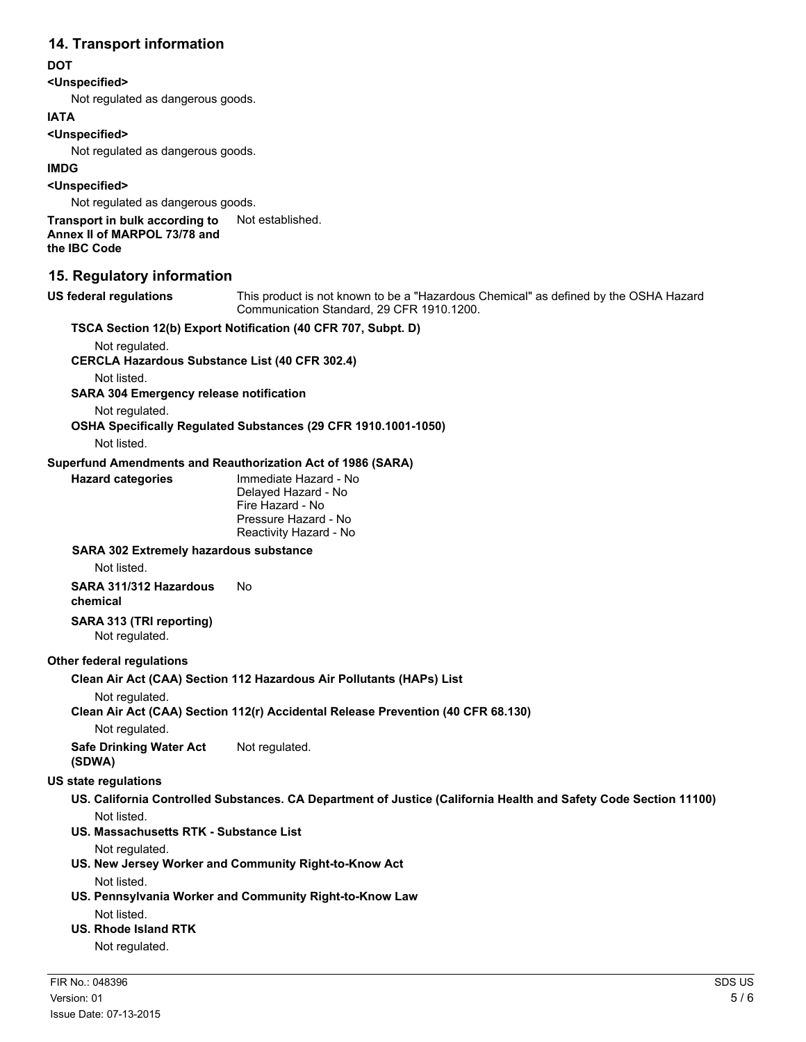# **14. Transport information**

# **DOT**

# **<Unspecified>**

Not regulated as dangerous goods.

#### **IATA**

#### **<Unspecified>**

Not regulated as dangerous goods.

#### **IMDG**

**<Unspecified>**

Not regulated as dangerous goods.

#### **Transport in bulk according to** Not established. **Annex II of MARPOL 73/78 and the IBC Code**

# **15. Regulatory information**

**US federal regulations** This product is not known to be a "Hazardous Chemical" as defined by the OSHA Hazard Communication Standard, 29 CFR 1910.1200.

# **TSCA Section 12(b) Export Notification (40 CFR 707, Subpt. D)**

Not regulated.

**CERCLA Hazardous Substance List (40 CFR 302.4)**

Not listed.

**SARA 304 Emergency release notification**

Not regulated.

# **OSHA Specifically Regulated Substances (29 CFR 1910.1001-1050)**

Not listed.

#### **Superfund Amendments and Reauthorization Act of 1986 (SARA)**

| <b>Hazard categories</b> | Immediate Hazard - No<br>Delayed Hazard - No<br>Fire Hazard - No<br>Pressure Hazard - No |
|--------------------------|------------------------------------------------------------------------------------------|
|                          | Reactivity Hazard - No                                                                   |

#### **SARA 302 Extremely hazardous substance**

Not listed.

#### **SARA 311/312 Hazardous chemical** No

# **SARA 313 (TRI reporting)**

Not regulated.

### **Other federal regulations**

### **Clean Air Act (CAA) Section 112 Hazardous Air Pollutants (HAPs) List**

Not regulated.

## **Clean Air Act (CAA) Section 112(r) Accidental Release Prevention (40 CFR 68.130)**

Not regulated.

**Safe Drinking Water Act (SDWA)** Not regulated.

### **US state regulations**

**US. California Controlled Substances. CA Department of Justice (California Health and Safety Code Section 11100)** Not listed.

### **US. Massachusetts RTK - Substance List**

Not regulated.

**US. New Jersey Worker and Community Right-to-Know Act**

Not listed.

**US. Pennsylvania Worker and Community Right-to-Know Law** Not listed.

# **US. Rhode Island RTK**

Not regulated.